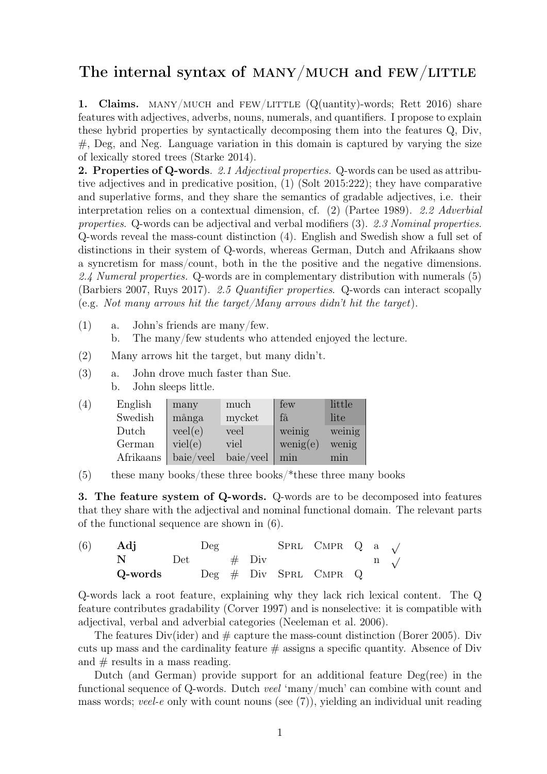## The internal syntax of MANY/MUCH and  $FEW/LITTLE$

1. Claims. MANY/MUCH and FEW/LITTLE  $(Q(\text{unitity})$ -words; Rett 2016) share features with adjectives, adverbs, nouns, numerals, and quantifiers. I propose to explain these hybrid properties by syntactically decomposing them into the features Q, Div, #, Deg, and Neg. Language variation in this domain is captured by varying the size of lexically stored trees (Starke 2014).

2. Properties of Q-words. 2.1 Adjectival properties. Q-words can be used as attributive adjectives and in predicative position, (1) (Solt 2015:222); they have comparative and superlative forms, and they share the semantics of gradable adjectives, i.e. their interpretation relies on a contextual dimension, cf. (2) (Partee 1989). 2.2 Adverbial properties. Q-words can be adjectival and verbal modifiers (3). 2.3 Nominal properties. Q-words reveal the mass-count distinction (4). English and Swedish show a full set of distinctions in their system of Q-words, whereas German, Dutch and Afrikaans show a syncretism for mass/count, both in the the positive and the negative dimensions. 2.4 Numeral properties. Q-words are in complementary distribution with numerals (5) (Barbiers 2007, Ruys 2017). 2.5 Quantifier properties. Q-words can interact scopally (e.g. Not many arrows hit the target/Many arrows didn't hit the target).

- (1) a. John's friends are many/few. b. The many/few students who attended enjoyed the lecture.
- (2) Many arrows hit the target, but many didn't.
- (3) a. John drove much faster than Sue. b. John sleeps little.

| (4) | English   | many      | much      | few      | little |
|-----|-----------|-----------|-----------|----------|--------|
|     | Swedish   | många     | mycket    | få       | lite   |
|     | Dutch     | veel(e)   | veel      | weinig   | weinig |
|     | German    | viel(e)   | viel      | wenig(e) | wenig  |
|     | Afrikaans | baie/veel | baie/veel | min      | min    |

(5) these many books/these three books/\*these three many books

3. The feature system of Q-words. Q-words are to be decomposed into features that they share with the adjectival and nominal functional domain. The relevant parts of the functional sequence are shown in (6).

| (6) | Adj                                 | $\log$        |  | SPRL CMPR $Q$ a $\sqrt{ }$ |  |                         |
|-----|-------------------------------------|---------------|--|----------------------------|--|-------------------------|
|     |                                     | $Det$ # $Div$ |  |                            |  | $\mathbf{n}$ $\sqrt{ }$ |
|     | $Q$ -words $Deg \# Div$ SPRL CMPR Q |               |  |                            |  |                         |

Q-words lack a root feature, explaining why they lack rich lexical content. The Q feature contributes gradability (Corver 1997) and is nonselective: it is compatible with adjectival, verbal and adverbial categories (Neeleman et al. 2006).

The features Div(ider) and  $\#$  capture the mass-count distinction (Borer 2005). Div cuts up mass and the cardinality feature  $\#$  assigns a specific quantity. Absence of Div and  $\#$  results in a mass reading.

Dutch (and German) provide support for an additional feature  $Deg(ree)$  in the functional sequence of Q-words. Dutch veel 'many/much' can combine with count and mass words; veel-e only with count nouns (see (7)), yielding an individual unit reading